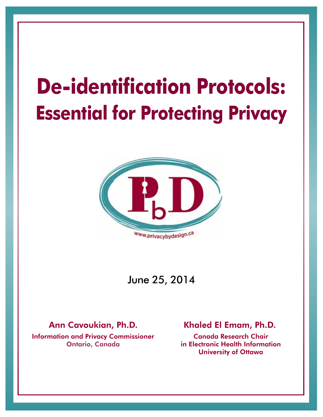# **De-identification Protocols: Essential for Protecting Privacy**



## June 25, 2014

#### Ann Cavoukian, Ph.D.

Information and Privacy Commissioner Ontario, Canada

#### Khaled El Emam, Ph.D.

Canada Research Chair in Electronic Health Information University of Ottawa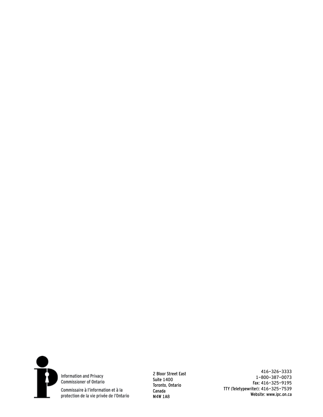

Information and Privacy Commissioner of Ontario

Commissaire à l'information et à la protection de la vie privée de l'Ontario 2 Bloor Street East Suite 1400 Toronto, Ontario Canada M4W 1A8

416-326-3333 1-800-387-0073 Fax: 416-325-9195 TTY (Teletypewriter): 416-325-7539 Website: www.ipc.on.ca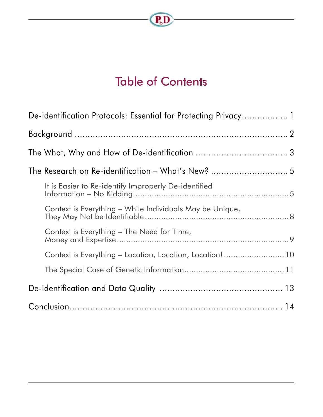

# Table of Contents

| De-identification Protocols: Essential for Protecting Privacy 1 |
|-----------------------------------------------------------------|
|                                                                 |
|                                                                 |
| The Research on Re-identification - What's New?  5              |
| It is Easier to Re-identify Improperly De-identified            |
| Context is Everything - While Individuals May be Unique,        |
| Context is Everything – The Need for Time,                      |
| Context is Everything - Location, Location, Location! 10        |
|                                                                 |
|                                                                 |
|                                                                 |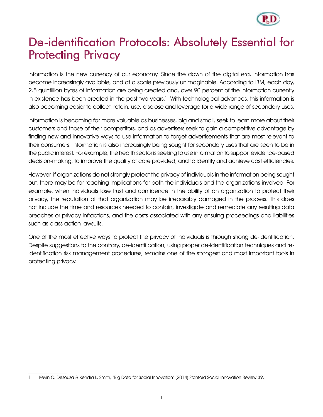# De-identification Protocols: Absolutely Essential for **Protecting Privacy**

Information is the new currency of our economy. Since the dawn of the digital era, information has become increasingly available, and at a scale previously unimaginable. According to IBM, each day, 2.5 quintillion bytes of information are being created and, over 90 percent of the information currently in existence has been created in the past two years.<sup>1</sup> With technological advances, this information is also becoming easier to collect, retain, use, disclose and leverage for a wide range of secondary uses.

Information is becoming far more valuable as businesses, big and small, seek to learn more about their customers and those of their competitors, and as advertisers seek to gain a competitive advantage by finding new and innovative ways to use information to target advertisements that are most relevant to their consumers. Information is also increasingly being sought for secondary uses that are seen to be in the public interest. For example, the health sector is seeking to use information to support evidence-based decision-making, to improve the quality of care provided, and to identify and achieve cost efficiencies.

However, if organizations do not strongly protect the privacy of individuals in the information being sought out, there may be far-reaching implications for both the individuals and the organizations involved. For example, when individuals lose trust and confidence in the ability of an organization to protect their privacy, the reputation of that organization may be irreparably damaged in the process. This does not include the time and resources needed to contain, investigate and remediate any resulting data breaches or privacy infractions, and the costs associated with any ensuing proceedings and liabilities such as class action lawsuits.

One of the most effective ways to protect the privacy of individuals is through strong de-identification. Despite suggestions to the contrary, de-identification, using proper de-identification techniques and reidentification risk management procedures, remains one of the strongest and most important tools in protecting privacy.

<sup>1</sup> Kevin C. Desouza & Kendra L. Smith, "Big Data for Social Innovation" (2014) Stanford Social Innovation Review 39.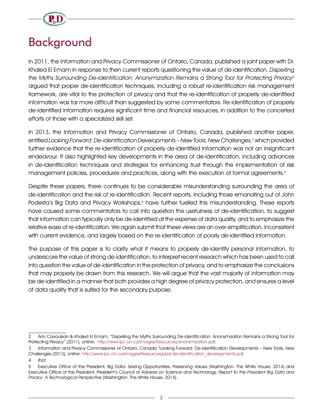

# Background

In 2011, the Information and Privacy Commissioner of Ontario, Canada, published a joint paper with Dr. Khaled El Emam in response to then current reports questioning the value of de-identification. Dispelling the Myths Surrounding De-identification: Anonymization Remains a Strong Tool for Protecting Privacy<sup>2</sup> argued that proper de-identification techniques, including a robust re-identification risk management framework, are vital to the protection of privacy and that the re-identification of properly de-identified information was far more difficult than suggested by some commentators. Re-identification of properly de-identified information requires significant time and financial resources, in addition to the concerted efforts of those with a specialized skill set.

In 2013, the Information and Privacy Commissioner of Ontario, Canada, published another paper, entitled Looking Forward: De-identification Developments – New Tools, New Challenges, 3 which provided further evidence that the re-identification of properly de-identified information was not an insignificant endeavour. It also highlighted key developments in the area of de-identification, including advances in de-identification techniques and strategies for enhancing trust through the implementation of risk management policies, procedures and practices, along with the execution of formal agreements.<sup>4</sup>

Despite these papers, there continues to be considerable misunderstanding surrounding the area of de-identification and the risk of re-identification. Recent reports, including those emanating out of John Podesta's Big Data and Privacy Workshops,<sup>5</sup> have further fuelled this misunderstanding. These reports have caused some commentators to call into question the usefulness of de-identification, to suggest that information can typically only be de-identified at the expense of data quality, and to emphasize the relative ease of re-identification. We again submit that these views are an over-simplification, inconsistent with current evidence, and largely based on the re-identification of poorly de-identified information.

The purpose of this paper is to clarify what it means to properly de-identify personal information, to underscore the value of strong de-identification, to interpret recent research which has been used to call into question the value of de-identification in the protection of privacy, and to emphasize the conclusions that may properly be drawn from this research. We will argue that the vast majority of information may be de-identified in a manner that both provides a high degree of privacy protection, and ensures a level of data quality that is suited for the secondary purpose.

<sup>2</sup> Ann Cavoukian & Khaled El Emam, "Dispelling the Myths Surrounding De-identification: Anonymization Remains a Strong Tool for Protecting Privacy" (2011), online: http://www.ipc.on.ca/images/Resources/anonymization.pdf.

<sup>3</sup> Information and Privacy Commissioner of Ontario, Canada "Looking Forward: De-identification Developments – New Tools, New Challenges (2013), online: http://www.ipc.on.ca/images/Resources/pbd-de-identifcation\_developments.pdf.

<sup>4</sup> Ibid.

<sup>5</sup> Executive Office of the President, Big Data: Seizing Opportunities, Preserving Values (Washington: The White House, 2014) and Executive Office of the President, President's Council of Advisors on Science and Technology, Report to the President Big Data and Privacy: A Technological Perspective (Washington: The White House, 2014).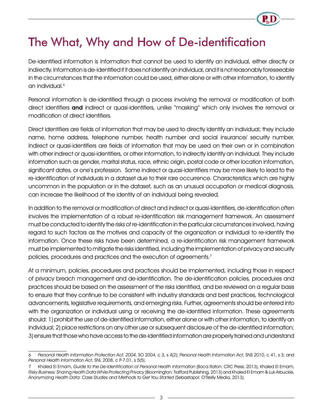# The What, Why and How of De-identification

De-identified information is information that cannot be used to identify an individual, either directly or indirectly. Information is de-identified if it does not identify an individual, and it is not reasonably foreseeable in the circumstances that the information could be used, either alone or with other information, to identify an individual.<sup>6</sup>

Personal information is de-identified through a process involving the removal or modification of both direct identifiers and indirect or quasi-identifiers, unlike "masking" which only involves the removal or modification of direct identifiers.

Direct identifiers are fields of information that may be used to directly identify an individual; they include name, home address, telephone number, health number and social insurance/ security number. Indirect or quasi-identifiers are fields of information that may be used on their own or in combination with other indirect or quasi-identifiers, or other information, to indirectly identify an individual. They include information such as gender, marital status, race, ethnic origin, postal code or other location information, significant dates, or one's profession. Some indirect or quasi-identifiers may be more likely to lead to the re-identification of individuals in a dataset due to their rare occurrence. Characteristics which are highly uncommon in the population or in the dataset, such as an unusual occupation or medical diagnosis, can increase the likelihood of the identity of an individual being revealed.

In addition to the removal or modification of direct and indirect or quasi-identifiers, de-identification often involves the implementation of a robust re-identification risk management framework. An assessment must be conducted to identify the risks of re-identification in the particular circumstances involved, having regard to such factors as the motives and capacity of the organization or individual to re-identify the information. Once these risks have been determined, a re-identification risk management framework must be implemented to mitigate the risks identified, including the implementation of privacy and security policies, procedures and practices and the execution of agreements.7

At a minimum, policies, procedures and practices should be implemented, including those in respect of privacy breach management and de-identification. The de-identification policies, procedures and practices should be based on the assessment of the risks identified, and be reviewed on a regular basis to ensure that they continue to be consistent with industry standards and best practices, technological advancements, legislative requirements, and emerging risks. Further, agreements should be entered into with the organization or individual using or receiving the de-identified information. These agreements should: 1) prohibit the use of de-identified information, either alone or with other information, to identify an individual; 2) place restrictions on any other use or subsequent disclosure of the de-identified information; 3) ensure that those who have access to the de-identified information are properly trained and understand

<sup>6</sup> Personal Health Information Protection Act, 2004, SO 2004, c 3, s 4(2); Personal Health Information Act, SNS 2010, c 41, s 3; and Personal Health Information Act, SNL 2008, c P-7.01, s 5(5).

Khaled El Emam, Guide to the De-Identification of Personal Health Information (Boca Raton: CRC Press, 2013), Khaled El Emam, Risky Business: Sharing Health Data While Protecting Privacy (Bloomington: Trafford Publishing, 2013) and Khaled El Emam & Luk Arbuckle, Anonymizing Health Data: Case Studies and Methods to Get You Started (Sebastopol: O'Reilly Media, 2013).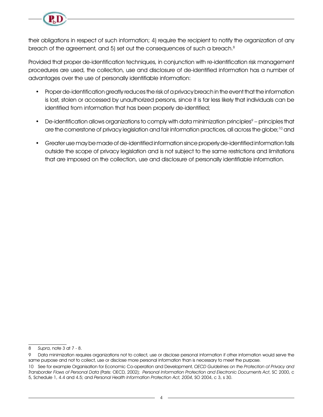

their obligations in respect of such information; 4) require the recipient to notify the organization of any breach of the agreement, and 5) set out the consequences of such a breach. $8$ 

Provided that proper de-identification techniques, in conjunction with re-identification risk management procedures are used, the collection, use and disclosure of de-identified information has a number of advantages over the use of personally identifiable information:

- Proper de-identification greatly reduces the risk of a privacy breach in the event that the information is lost, stolen or accessed by unauthorized persons, since it is far less likely that individuals can be identified from information that has been properly de-identified;
- De-identification allows organizations to comply with data minimization principles $9$  principles that are the cornerstone of privacy legislation and fair information practices, all across the globe;<sup>10</sup> and
- Greater use may be made of de-identified information since properly de-identified information falls outside the scope of privacy legislation and is not subject to the same restrictions and limitations that are imposed on the collection, use and disclosure of personally identifiable information.

<sup>8</sup> Supra, note 3 at 7 - 8.

<sup>9</sup> Data minimization requires organizations not to collect, use or disclose personal information if other information would serve the same purpose and not to collect, use or disclose more personal information than is necessary to meet the purpose.

<sup>10</sup> See for example Organisation for Economic Co-operation and Development, OECD Guidelines on the Protection of Privacy and Transborder Flows of Personal Data (Paris: OECD, 2002); Personal Information Protection and Electronic Documents Act, SC 2000, c 5, Schedule 1, 4.4 and 4.5; and Personal Health Information Protection Act, 2004, SO 2004, c 3, s 30.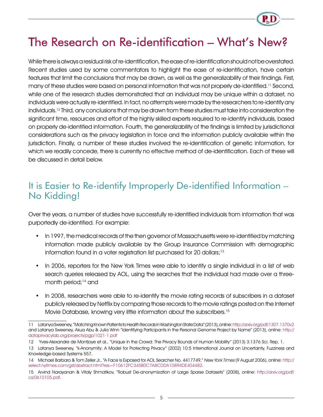

# The Research on Re-identification – What's New?

While there is always a residual risk of re-identification, the ease of re-identification should not be overstated. Recent studies used by some commentators to highlight the ease of re-identification, have certain features that limit the conclusions that may be drawn, as well as the generalizability of their findings. First, many of these studies were based on personal information that was not properly de-identified.11 Second, while one of the research studies demonstrated that an individual may be unique within a dataset, no individuals were actually re-identified. In fact, no attempts were made by the researchers to re-identify any individuals.12 Third, any conclusions that may be drawn from these studies must take into consideration the significant time, resources and effort of the highly skilled experts required to re-identify individuals, based on properly de-identified information. Fourth, the generalizability of the findings is limited by jurisdictional considerations such as the privacy legislation in force and the information publicly available within the jurisdiction. Finally, a number of these studies involved the re-identification of genetic information, for which we readily concede, there is currently no effective method of de-identification. Each of these will be discussed in detail below.

#### It is Easier to Re-identify Improperly De-identified Information – No Kidding!

Over the years, a number of studies have successfully re-identified individuals from information that was purportedly de-identified. For example:

- In 1997, the medical records of the then governor of Massachusetts were re-identified by matching information made publicly available by the Group Insurance Commission with demographic information found in a voter registration list purchased for 20 dollars;<sup>13</sup>
- In 2006, reporters for the New York Times were able to identify a single individual in a list of web search queries released by AOL, using the searches that the individual had made over a threemonth period;<sup>14</sup> and
- In 2008, researchers were able to re-identify the movie rating records of subscribers in a dataset publicly released by Netflix by comparing those records to the movie ratings posted on the Internet Movie Database, knowing very little information about the subscribers.15

<sup>11</sup> Latanya Sweeney, "Matching Known Patients to Health Records in Washington State Data" (2013), online: http://arxiv.org/pdf/1307.1370v2 and Latanya Sweeney, Akua Abu & Julia Winn "Identifying Participants in the Personal Genome Project by Name" (2013), online: http:// dataprivacylab.org/projects/pgp/1021-1.pdf

<sup>12</sup> Yves-Alexandre de Montjoye et al., "Unique in the Crowd: The Privacy Bounds of Human Mobility" (2013) 3:1376 Sci. Rep. 1.

<sup>13</sup> Latanya Sweeney, "k-Anonymity: A Model for Protecting Privacy" (2002) 10:5 International Journal on Uncertainty, Fuzziness and Knowledge-based Systems 557.

<sup>14</sup> Michael Barbaro & Tom Zeller Jr., "A Face Is Exposed for AOL Searcher No. 4417749," New York Times (9 August 2006), online: http:// select.nytimes.com/gst/abstract.html?res=F10612FC345B0C7A8CDDA10894DE404482.

<sup>15</sup> Arvind Narayanan & Vitaly Shmatikov, "Robust De-anonymization of Large Sparse Datasets" (2008), online: http://arxiv.org/pdf/ cs/0610105.pdf.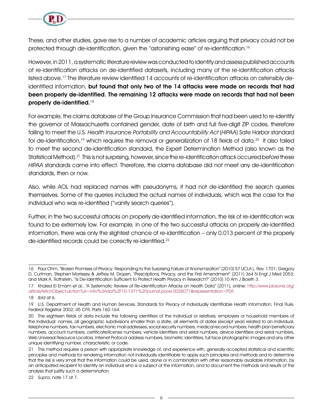

These, and other studies, gave rise to a number of academic articles arguing that privacy could not be protected through de-identification, given the "astonishing ease" of re-identification.16

However, in 2011, a systematic literature review was conducted to identify and assess published accounts of re-identification attacks on de-identified datasets, including many of the re-identification attacks listed above.<sup>17</sup> The literature review identified 14 accounts of re-identification attacks on ostensibly deidentified information, but found that only two of the 14 attacks were made on records that had been properly de-identified. The remaining 12 attacks were made on records that had not been properly de-identified.<sup>18</sup>

For example, the claims database of the Group Insurance Commission that had been used to re-identify the governor of Massachusetts contained gender, date of birth and full five-digit ZIP codes, therefore failing to meet the U.S. Health Insurance Portability and Accountability Act (HIPAA) Safe Harbor standard for de-identification,<sup>19</sup> which requires the removal or generalization of 18 fields of data.<sup>20</sup> It also failed to meet the second de-identification standard, the Expert Determination Method (also known as the Statistical Method).<sup>21</sup> This is not surprising, however, since the re-identification attack occurred before these HIPAA standards came into effect. Therefore, the claims database did not meet any de-identification standards, then or now.

Also, while AOL had replaced names with pseudonyms, it had not de-identified the search queries themselves. Some of the queries included the actual names of individuals, which was the case for the individual who was re-identified ("vanity search queries").

Further, in the two successful attacks on properly de-identified information, the risk of re-identification was found to be extremely low. For example, in one of the two successful attacks on properly de-identified information, there was only the slightest chance of re-identification – only 0.013 percent of the properly de-identified records could be correctly re-identified.<sup>22</sup>

<sup>16</sup> Paul Ohm, "Broken Promises of Privacy: Responding to the Surprising Failure of Anonymization" (2010) 57 UCLA L. Rev. 1701; Gregory D. Curfman, Stephen Morrissey & Jeffrey M. Drazen, "Prescriptions, Privacy, and the First Amendment" (2011) 364 N Engl J Med 2053; and Mark A. Rothstein, "Is De-Identification Sufficient to Protect Health Privacy in Research?" (2010) 10 Am J Bioeth 3.

<sup>17</sup> Khaled El Emam et al., "A Systematic Review of Re-identification Attacks on Health Data" (2011), online: http://www.plosone.org/ article/fetchObject.action?uri=info%3Adoi%2F10.1371%2Fjournal.pone.0028071&representation=PDF.

<sup>18</sup> Ibid at 6.

<sup>19</sup> U.S. Department of Health and Human Services, Standards for Privacy of Individually Identifiable Health Information, Final Rule, Federal Registrar 2002; 45 CFR, Parts 160-164.

<sup>20</sup> The eighteen fields of data include the following identifiers of the individual or relatives, employers or household members of the individual: names, all geographic subdivisions smaller than a state, all elements of dates (except year) related to an individual, telephone numbers, fax numbers, electronic mail addresses, social security numbers, medical record numbers, health plan beneficiary numbers, account numbers, certificate/license numbers, vehicle identifiers and serial numbers, device identifiers and serial numbers, Web Universal Resource Locators, Internet Protocol address numbers, biometric identifiers, full face photographic images and any other unique identifying number, characteristic or code.

<sup>21</sup> This method requires a person with appropriate knowledge of, and experience with, generally accepted statistical and scientific principles and methods for rendering information not individually identifiable to apply such principles and methods and to determine that the risk is very small that the information could be used, alone or in combination with other reasonably available information, by an anticipated recipient to identify an individual who is a subject of the information, and to document the methods and results of the analysis that justify such a determination.

<sup>22</sup> Supra, note 17 at 7.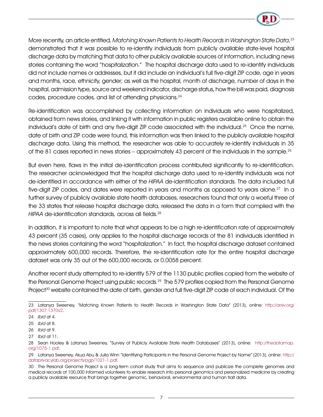

More recently, an article entitled, Matching Known Patients to Health Records in Washington State Data, $^{\rm 23}$ demonstrated that it was possible to re-identify individuals from publicly available state-level hospital discharge data by matching that data to other publicly available sources of information, including news stories containing the word "hospitalization." The hospital discharge data used to re-identify individuals did not include names or addresses, but it did include an individual's full five-digit ZIP code, age in years and months, race, ethnicity, gender; as well as the hospital, month of discharge, number of days in the hospital, admission type, source and weekend indicator, discharge status, how the bill was paid, diagnosis codes, procedure codes, and list of attending physicians.<sup>24</sup>

Re-identification was accomplished by collecting information on individuals who were hospitalized, obtained from news stories, and linking it with information in public registers available online to obtain the individual's date of birth and any five-digit ZIP code associated with the individual.<sup>25</sup> Once the name, date of birth and ZIP code were found, this information was then linked to the publicly available hospital discharge data. Using this method, the researcher was able to accurately re-identify individuals in 35 of the 81 cases reported in news stories – approximately 43 percent of the individuals in the sample.<sup>26</sup>

But even here, flaws in the initial de-identification process contributed significantly to re-identification. The researcher acknowledged that the hospital discharge data used to re-identify individuals was not de-identified in accordance with either of the HIPAA de-identification standards. The data included full five-digit ZIP codes, and dates were reported in years and months as opposed to years alone.<sup>27</sup> In a further survey of publicly available state health databases, researchers found that only a woeful three of the 33 states that release hospital discharge data, released the data in a form that complied with the HIPAA de-identification standards, across all fields.<sup>28</sup>

In addition, it is important to note that what appears to be a high re-identification rate of approximately 43 percent (35 cases), only applies to the hospital discharge records of the 81 individuals identified in the news stories containing the word "hospitalization." In fact, the hospital discharge dataset contained approximately 600,000 records. Therefore, the re-identification rate for the entire hospital discharge dataset was only 35 out of the 600,000 records, or 0.0058 percent.

Another recent study attempted to re-identify 579 of the 1130 public profiles copied from the website of the Personal Genome Project using public records.<sup>29</sup> The 579 profiles copied from the Personal Genome Project<sup>30</sup> website contained the date of birth, gender and full five-digit ZIP code of each individual. Of the

<sup>23</sup> Latanya Sweeney, "Matching Known Patients to Health Records in Washington State Data" (2013), online: http://arxiv.org/ pdf/1307.1370v2.

<sup>24</sup> Ibid at 4.

<sup>25</sup> Ibid at 8.

<sup>26</sup> Ibid at 9.

<sup>27</sup> Ibid at 11.

<sup>28</sup> Sean Hooley & Latanya Sweeney, "Survey of Publicly Available State Health Databases" (2013), online: http://thedatamap. org/1075-1.pdf.

<sup>29</sup> Latanya Sweeney, Akua Abu & Julia Winn "Identifying Participants in the Personal Genome Project by Name" (2013), online: http:// dataprivacylab.org/projects/pgp/1021-1.pdf.

<sup>30</sup> The Personal Genome Project is a long-term cohort study that aims to sequence and publicize the complete genomes and medical records of 100,000 informed volunteers to enable research into personal genomics and personalized medicine by creating a publicly available resource that brings together genomic, behavioral, environmental and human trait data.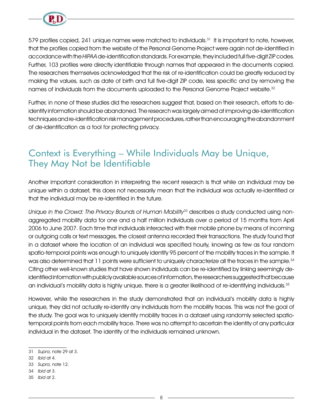

579 profiles copied, 241 unique names were matched to individuals.<sup>31</sup> It is important to note, however, that the profiles copied from the website of the Personal Genome Project were again not de-identified in accordance with the HIPAA de-identification standards. For example, they included full five-digit ZIP codes. Further, 103 profiles were directly identifiable through names that appeared in the documents copied. The researchers themselves acknowledged that the risk of re-identification could be greatly reduced by making the values, such as date of birth and full five-digit ZIP code, less specific and by removing the names of individuals from the documents uploaded to the Personal Genome Project website.<sup>32</sup>

Further, in none of these studies did the researchers suggest that, based on their research, efforts to deidentify information should be abandoned. The research was largely aimed at improving de-identification techniques and re-identification risk management procedures, rather than encouraging the abandonment of de-identification as a tool for protecting privacy.

#### Context is Everything – While Individuals May be Unique, They May Not be Identifiable

Another important consideration in interpreting the recent research is that while an individual may be unique within a dataset, this does not necessarily mean that the individual was actually re-identified or that the individual may be re-identified in the future.

Unique in the Crowd: The Privacy Bounds of Human Mobility<sup>33</sup> describes a study conducted using nonaggregated mobility data for one and a half million individuals over a period of 15 months from April 2006 to June 2007. Each time that individuals interacted with their mobile phone by means of incoming or outgoing calls or text messages, the closest antenna recorded their transactions. The study found that in a dataset where the location of an individual was specified hourly, knowing as few as four random spatio-temporal points was enough to uniquely identify 95 percent of the mobility traces in the sample. It was also determined that 11 points were sufficient to uniquely characterize all the traces in the sample.<sup>34</sup> Citing other well-known studies that have shown individuals can be re-identified by linking seemingly deidentified information with publicly available sources of information, the researchers suggested that because an individual's mobility data is highly unique, there is a greater likelihood of re-identifying individuals.<sup>35</sup>

However, while the researchers in the study demonstrated that an individual's mobility data is highly unique, they did not actually re-identify any individuals from the mobility traces. This was not the goal of the study. The goal was to uniquely identify mobility traces in a dataset using randomly selected spatiotemporal points from each mobility trace. There was no attempt to ascertain the identity of any particular individual in the dataset. The identity of the individuals remained unknown.

<sup>31</sup> Supra, note 29 at 3.

<sup>32</sup> Ibid at 4.

<sup>33</sup> Supra, note 12.

<sup>34</sup> Ibid at 3.

<sup>35</sup> Ibid at 2.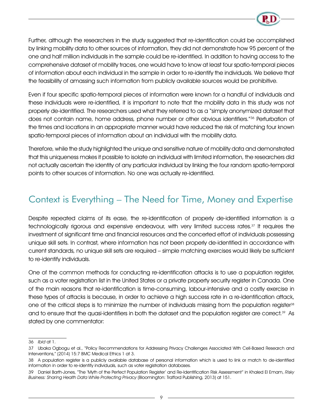

Further, although the researchers in the study suggested that re-identification could be accomplished by linking mobility data to other sources of information, they did not demonstrate how 95 percent of the one and half million individuals in the sample could be re-identified. In addition to having access to the comprehensive dataset of mobility traces, one would have to know at least four spatio-temporal pieces of information about each individual in the sample in order to re-identify the individuals. We believe that the feasibility of amassing such information from publicly available sources would be prohibitive.

Even if four specific spatio-temporal pieces of information were known for a handful of individuals and these individuals were re-identified, it is important to note that the mobility data in this study was not properly de-identified. The researchers used what they referred to as a "simply anonymized dataset that does not contain name, home address, phone number or other obvious identifiers."<sup>36</sup> Perturbation of the times and locations in an appropriate manner would have reduced the risk of matching four known spatio-temporal pieces of information about an individual with the mobility data.

Therefore, while the study highlighted the unique and sensitive nature of mobility data and demonstrated that this uniqueness makes it possible to isolate an individual with limited information, the researchers did not actually ascertain the identity of any particular individual by linking the four random spatio-temporal points to other sources of information. No one was actually re-identified.

#### Context is Everything – The Need for Time, Money and Expertise

Despite repeated claims of its ease, the re-identification of properly de-identified information is a technologically rigorous and expensive endeavour, with very limited success rates.<sup>37</sup> It requires the investment of significant time and financial resources and the concerted effort of individuals possessing unique skill sets. In contrast, where information has not been properly de-identified in accordance with current standards, no unique skill sets are required – simple matching exercises would likely be sufficient to re-identify individuals.

One of the common methods for conducting re-identification attacks is to use a population register, such as a voter registration list in the United States or a private property security register in Canada. One of the main reasons that re-identification is time-consuming, labour-intensive and a costly exercise in these types of attacks is because, in order to achieve a high success rate in a re-identification attack, one of the critical steps is to minimize the number of individuals missing from the population register<sup>38</sup> and to ensure that the quasi-identifiers in both the dataset and the population register are correct.<sup>39</sup> As stated by one commentator:

<sup>36</sup> Ibid at 1.

<sup>37</sup> Ubaka Ogbogu et al., "Policy Recommendations for Addressing Privacy Challenges Associated With Cell-Based Research and Interventions," (2014) 15:7 BMC Medical Ethics 1 at 3.

<sup>38</sup> A population register is a publicly available database of personal information which is used to link or match to de-identified information in order to re-identify individuals, such as voter registration databases.

<sup>39</sup> Daniel Barth-Jones, "The 'Myth of the Perfect Population Register' and Re-Identification Risk Assessment" in Khaled El Emam, Risky Business: Sharing Health Data While Protecting Privacy (Bloomington: Trafford Publishing, 2013) at 151.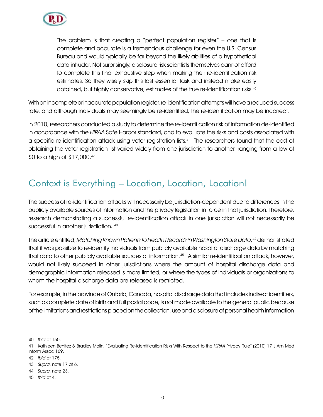

The problem is that creating a "perfect population register" – one that is complete and accurate is a tremendous challenge for even the U.S. Census Bureau and would typically be far beyond the likely abilities of a hypothetical data intruder. Not surprisingly, disclosure risk scientists themselves cannot afford to complete this final exhaustive step when making their re-identification risk estimates. So they wisely skip this last essential task and instead make easily obtained, but highly conservative, estimates of the true re-identification risks.40

With an incomplete or inaccurate population register, re-identification attempts will have a reduced success rate, and although individuals may seemingly be re-identified, the re-identification may be incorrect.

In 2010, researchers conducted a study to determine the re-identification risk of information de-identified in accordance with the HIPAA Safe Harbor standard, and to evaluate the risks and costs associated with a specific re-identification attack using voter registration lists.41 The researchers found that the cost of obtaining the voter registration list varied widely from one jurisdiction to another, ranging from a low of \$0 to a high of \$17,000.42

#### Context is Everything – Location, Location, Location!

The success of re-identification attacks will necessarily be jurisdiction-dependent due to differences in the publicly available sources of information and the privacy legislation in force in that jurisdiction. Therefore, research demonstrating a successful re-identification attack in one jurisdiction will not necessarily be successful in another jurisdiction. 43

The article entitled, Matching Known Patients to Health Records in Washington State Data, 44 demonstrated that it was possible to re-identify individuals from publicly available hospital discharge data by matching that data to other publicly available sources of information.45 A similar re-identification attack, however, would not likely succeed in other jurisdictions where the amount of hospital discharge data and demographic information released is more limited, or where the types of individuals or organizations to whom the hospital discharge data are released is restricted.

For example, in the province of Ontario, Canada, hospital discharge data that includes indirect identifiers, such as complete date of birth and full postal code, is not made available to the general public because of the limitations and restrictions placed on the collection, use and disclosure of personal health information

45 Ibid at 4.

<sup>40</sup> Ibid at 150.

<sup>41</sup> Kathleen Benitez & Bradley Malin, "Evaluating Re-Identification Risks With Respect to the HIPAA Privacy Rule" (2010) 17 J Am Med Inform Assoc 169.

<sup>42</sup> Ibid at 175.

<sup>43</sup> Supra, note 17 at 6.

<sup>44</sup> Supra, note 23.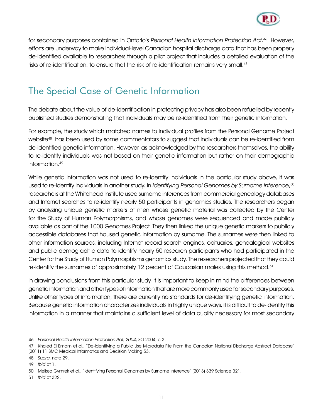

for secondary purposes contained in Ontario's Personal Health Information Protection Act. 46 However, efforts are underway to make individual-level Canadian hospital discharge data that has been properly de-identified available to researchers through a pilot project that includes a detailed evaluation of the risks of re-identification, to ensure that the risk of re-identification remains very small.<sup>47</sup>

### The Special Case of Genetic Information

The debate about the value of de-identification in protecting privacy has also been refuelled by recently published studies demonstrating that individuals may be re-identified from their genetic information.

For example, the study which matched names to individual profiles from the Personal Genome Project website<sup>48</sup> has been used by some commentators to suggest that individuals can be re-identified from de-identified genetic information. However, as acknowledged by the researchers themselves, the ability to re-identify individuals was not based on their genetic information but rather on their demographic information.49

While genetic information was not used to re-identify individuals in the particular study above, it was used to re-identify individuals in another study. In *Identifying Personal Genomes by Surname Inference,* 50 researchers at the Whitehead Institute used surname inferences from commercial genealogy databases and Internet searches to re-identify nearly 50 participants in genomics studies. The researchers began by analyzing unique genetic markers of men whose genetic material was collected by the Center for the Study of Human Polymorphisms, and whose genomes were sequenced and made publicly available as part of the 1000 Genomes Project. They then linked the unique genetic markers to publicly accessible databases that housed genetic information by surname. The surnames were then linked to other information sources, including Internet record search engines, obituaries, genealogical websites and public demographic data to identify nearly 50 research participants who had participated in the Center for the Study of Human Polymorphisms genomics study. The researchers projected that they could re-identify the surnames of approximately 12 percent of Caucasian males using this method.<sup>51</sup>

In drawing conclusions from this particular study, it is important to keep in mind the differences between genetic information and other types of information that are more commonly used for secondary purposes. Unlike other types of information, there are currently no standards for de-identifying genetic information. Because genetic information characterizes individuals in highly unique ways, it is difficult to de-identify this information in a manner that maintains a sufficient level of data quality necessary for most secondary

<sup>46</sup> Personal Health Information Protection Act, 2004, SO 2004, c 3.

<sup>47</sup> Khaled El Emam et al., "De-Identifying a Public Use Microdata File From the Canadian National Discharge Abstract Database" (2011) 11 BMC Medical Informatics and Decision Making 53.

<sup>48</sup> Supra, note 29.

<sup>49</sup> Ibid at 1.

<sup>50</sup> Melissa Gymrek et al., "Identifying Personal Genomes by Surname Inference" (2013) 339 Science 321.

<sup>51</sup> Ibid at 322.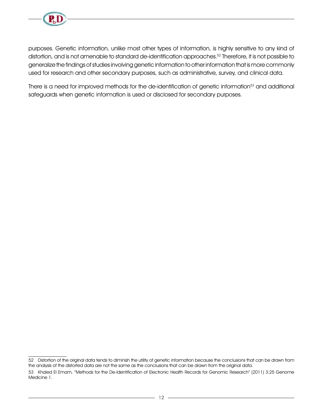

purposes. Genetic information, unlike most other types of information, is highly sensitive to any kind of distortion, and is not amenable to standard de-identification approaches.52 Therefore, it is not possible to generalize the findings of studies involving genetic information to other information that is more commonly used for research and other secondary purposes, such as administrative, survey, and clinical data.

There is a need for improved methods for the de-identification of genetic information<sup>53</sup> and additional safeguards when genetic information is used or disclosed for secondary purposes.

<sup>52</sup> Distortion of the original data tends to diminish the utility of genetic information because the conclusions that can be drawn from the analysis of the distorted data are not the same as the conclusions that can be drawn from the original data.

<sup>53</sup> Khaled El Emam, "Methods for the De-Identification of Electronic Health Records for Genomic Research" (2011) 3:25 Genome Medicine 1.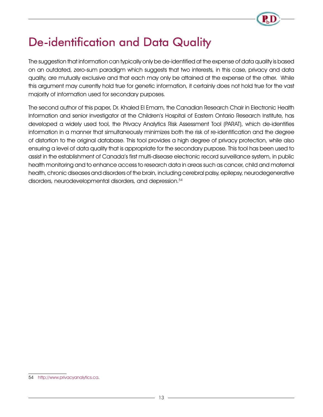# De-identification and Data Quality

The suggestion that information can typically only be de-identified at the expense of data quality is based on an outdated, zero-sum paradigm which suggests that two interests, in this case, privacy and data quality, are mutually exclusive and that each may only be attained at the expense of the other. While this argument may currently hold true for genetic information, it certainly does not hold true for the vast majority of information used for secondary purposes.

The second author of this paper, Dr. Khaled El Emam, the Canadian Research Chair in Electronic Health Information and senior investigator at the Children's Hospital of Eastern Ontario Research Institute, has developed a widely used tool, the Privacy Analytics Risk Assessment Tool (PARAT), which de-identifies information in a manner that simultaneously minimizes both the risk of re-identification and the degree of distortion to the original database. This tool provides a high degree of privacy protection, while also ensuring a level of data quality that is appropriate for the secondary purpose. This tool has been used to assist in the establishment of Canada's first multi-disease electronic record surveillance system, in public health monitoring and to enhance access to research data in areas such as cancer, child and maternal health, chronic diseases and disorders of the brain, including cerebral palsy, epilepsy, neurodegenerative disorders, neurodevelopmental disorders, and depression.<sup>54</sup>

<sup>54</sup> http://www.privacyanalytics.ca.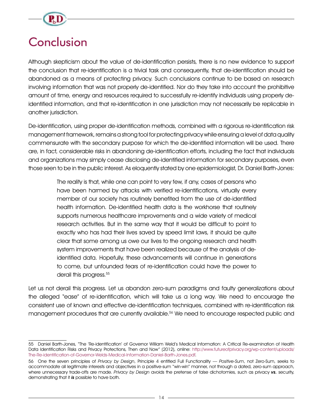

# **Conclusion**

Although skepticism about the value of de-identification persists, there is no new evidence to support the conclusion that re-identification is a trivial task and consequently, that de-identification should be abandoned as a means of protecting privacy. Such conclusions continue to be based on research involving information that was not properly de-identified. Nor do they take into account the prohibitive amount of time, energy and resources required to successfully re-identify individuals using properly deidentified information, and that re-identification in one jurisdiction may not necessarily be replicable in another jurisdiction.

De-identification, using proper de-identification methods, combined with a rigorous re-identification risk management framework, remains a strong tool for protecting privacy while ensuring a level of data quality commensurate with the secondary purpose for which the de-identified information will be used. There are, in fact, considerable risks in abandoning de-identification efforts, including the fact that individuals and organizations may simply cease disclosing de-identified information for secondary purposes, even those seen to be in the public interest. As eloquently stated by one epidemiologist, Dr. Daniel Barth-Jones:

> The reality is that, while one can point to very few, if any, cases of persons who have been harmed by attacks with verified re-identifications, virtually every member of our society has routinely benefited from the use of de-identified health information. De-identified health data is the workhorse that routinely supports numerous healthcare improvements and a wide variety of medical research activities. But in the same way that it would be difficult to point to exactly who has had their lives saved by speed limit laws, it should be quite clear that some among us owe our lives to the ongoing research and health system improvements that have been realized because of the analysis of deidentified data. Hopefully, these advancements will continue in generations to come, but unfounded fears of re-identification could have the power to derail this progress.<sup>55</sup>

Let us not derail this progress. Let us abandon zero-sum paradigms and faulty generalizations about the alleged "ease" of re-identification, which will take us a long way. We need to encourage the consistent use of known and effective de-identification techniques, combined with re-identification risk management procedures that are currently available.56 We need to encourage respected public and

<sup>55</sup> Daniel Barth-Jones, "The 'Re-identification' of Governor William Weld's Medical Information: A Critical Re-examination of Health Data Identification Risks and Privacy Protections, Then and Now" (2012), online: http://www.futureofprivacy.org/wp-content/uploads/ The-Re-identification-of-Governor-Welds-Medical-Information-Daniel-Barth-Jones.pdf.

<sup>56</sup> One the seven principles of Privacy by Design, Principle 4 entitled Full Functionality — Positive-Sum, not Zero-Sum, seeks to accommodate all legitimate interests and objectives in a positive-sum "win-win" manner, not through a dated, zero-sum approach, where unnecessary trade-offs are made. Privacy by Design avoids the pretense of false dichotomies, such as privacy vs. security, demonstrating that it is possible to have both.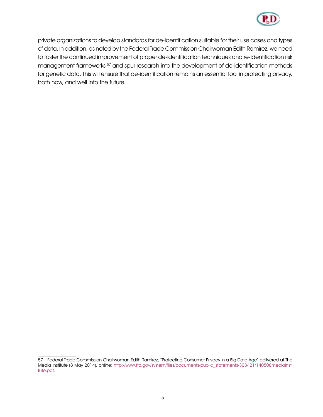

private organizations to develop standards for de-identification suitable for their use cases and types of data. In addition, as noted by the Federal Trade Commission Chairwoman Edith Ramirez, we need to foster the continued improvement of proper de-identification techniques and re-identification risk management frameworks,<sup>57</sup> and spur research into the development of de-identification methods for genetic data. This will ensure that de-identification remains an essential tool in protecting privacy, both now, and well into the future.

<sup>57</sup> Federal Trade Commission Chairwoman Edith Ramirez, "Protecting Consumer Privacy in a Big Data Age" delivered at The Media Institute (8 May 2014), online: http://www.ftc.gov/system/files/documents/public\_statements/308421/140508mediainsti tute.pdf.